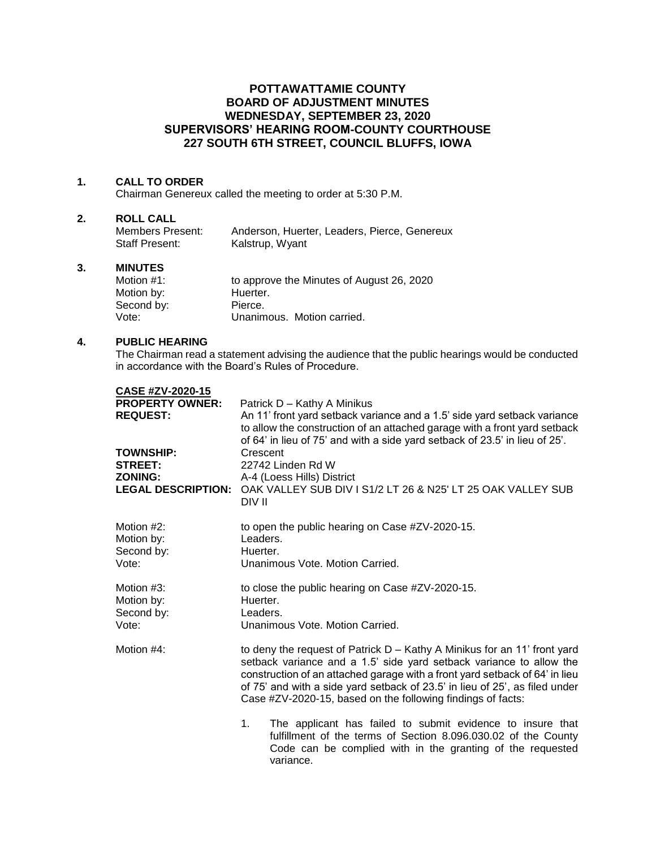# **POTTAWATTAMIE COUNTY BOARD OF ADJUSTMENT MINUTES WEDNESDAY, SEPTEMBER 23, 2020 SUPERVISORS' HEARING ROOM-COUNTY COURTHOUSE 227 SOUTH 6TH STREET, COUNCIL BLUFFS, IOWA**

# **1. CALL TO ORDER**

Chairman Genereux called the meeting to order at 5:30 P.M.

### **2. ROLL CALL**

| Members Present: | Anderson, Huerter, Leaders, Pierce, Genereux |
|------------------|----------------------------------------------|
| Staff Present:   | Kalstrup, Wyant                              |

#### **3. MINUTES**

| Motion $#1$ : | to approve the Minutes of August 26, 2020 |
|---------------|-------------------------------------------|
| Motion by:    | Huerter.                                  |
| Second by:    | Pierce.                                   |
| Vote:         | Unanimous. Motion carried.                |

# **4. PUBLIC HEARING**

The Chairman read a statement advising the audience that the public hearings would be conducted in accordance with the Board's Rules of Procedure.

| CASE #ZV-2020-15<br><b>PROPERTY OWNER:</b><br><b>REQUEST:</b><br><b>TOWNSHIP:</b><br><b>STREET:</b><br><b>ZONING:</b><br><b>LEGAL DESCRIPTION:</b> | Patrick D - Kathy A Minikus<br>An 11' front yard setback variance and a 1.5' side yard setback variance<br>to allow the construction of an attached garage with a front yard setback<br>of 64' in lieu of 75' and with a side yard setback of 23.5' in lieu of 25'.<br>Crescent<br>22742 Linden Rd W<br>A-4 (Loess Hills) District<br>OAK VALLEY SUB DIV I S1/2 LT 26 & N25' LT 25 OAK VALLEY SUB<br>DIV II |  |
|----------------------------------------------------------------------------------------------------------------------------------------------------|-------------------------------------------------------------------------------------------------------------------------------------------------------------------------------------------------------------------------------------------------------------------------------------------------------------------------------------------------------------------------------------------------------------|--|
| Motion #2:<br>Motion by:<br>Second by:<br>Vote:                                                                                                    | to open the public hearing on Case #ZV-2020-15.<br>Leaders.<br>Huerter.<br>Unanimous Vote, Motion Carried.                                                                                                                                                                                                                                                                                                  |  |
| Motion #3:<br>Motion by:<br>Second by:<br>Vote:                                                                                                    | to close the public hearing on Case #ZV-2020-15.<br>Huerter.<br>Leaders.<br>Unanimous Vote, Motion Carried.                                                                                                                                                                                                                                                                                                 |  |
| Motion #4:                                                                                                                                         | to deny the request of Patrick D - Kathy A Minikus for an 11' front yard<br>setback variance and a 1.5' side yard setback variance to allow the<br>construction of an attached garage with a front yard setback of 64' in lieu<br>of 75' and with a side yard setback of 23.5' in lieu of 25', as filed under<br>Case #ZV-2020-15, based on the following findings of facts:                                |  |
|                                                                                                                                                    | 1 <sub>1</sub><br>The applicant has failed to submit evidence to insure that<br>fulfillment of the terms of Section 8.096.030.02 of the County<br>Code can be complied with in the granting of the requested                                                                                                                                                                                                |  |

variance.